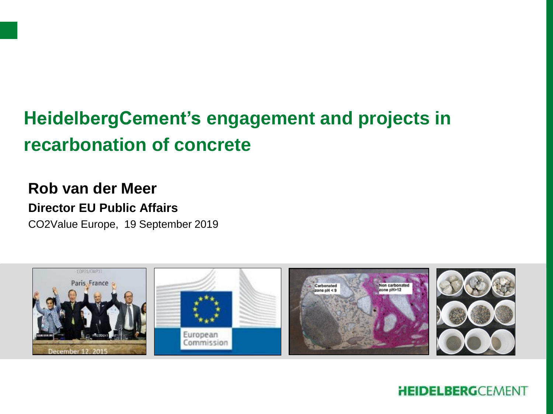# **HeidelbergCement's engagement and projects in recarbonation of concrete**

## **Rob van der Meer**

#### **Director EU Public Affairs**

CO2Value Europe, 19 September 2019

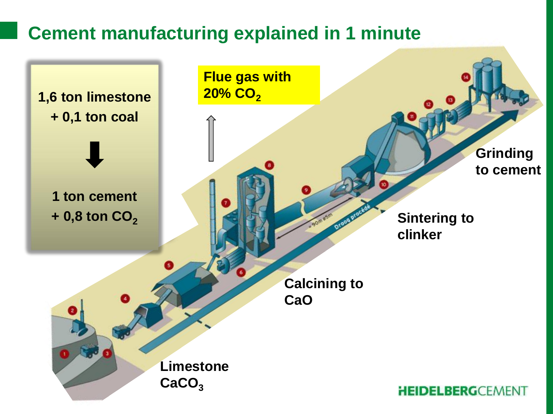# **Cement manufacturing explained in 1 minute**

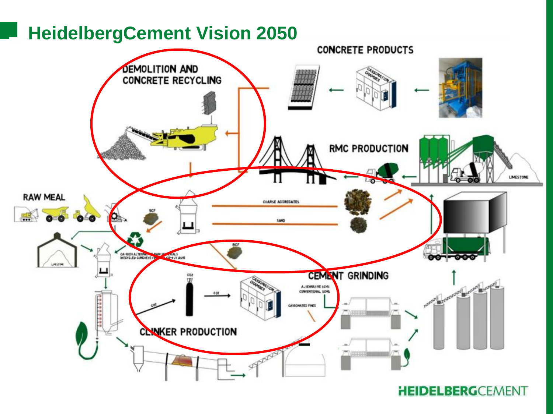# **HeidelbergCement Vision 2050**

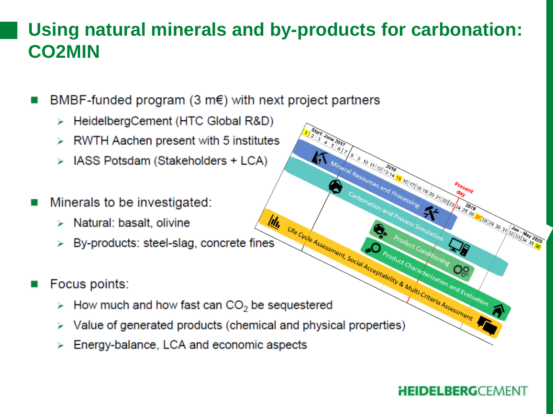# Using natural minerals and by-products for carbonation: **CO2MIN**

BMBF-funded program  $(3 \text{ m}\epsilon)$  with next project partners

- HeidelbergCement (HTC Global R&D)
- RWTH Aachen present with 5 institutes
- IASS Potsdam (Stakeholders + LCA)
- Minerals to be investigated:
	- $\triangleright$  Natural: basalt, olivine
	- III. Life Cycle Assessment, Social Acceptability By-products: steel-slag, concrete fines
- Focus points:
	- How much and how fast can  $CO<sub>2</sub>$  be sequestered
	- Value of generated products (chemical and physical properties)
	- Energy-balance, LCA and economic aspects

#### **HEIDELBERGCEMENT**

**Product Conditioning** 

O Product Characterization and Evaluation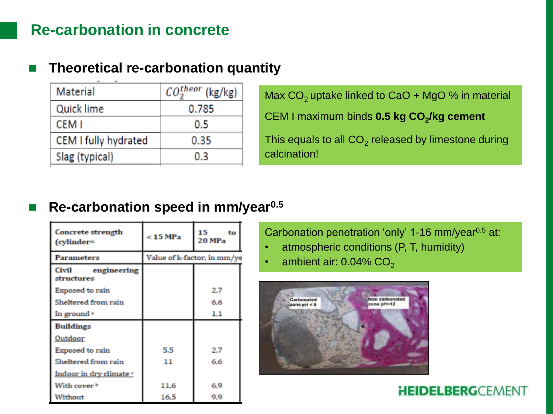### **Re-carbonation in concrete**

#### **Theoretical re-carbonation quantity**

| Material             | $CO2theor$ (kg/kg) |
|----------------------|--------------------|
| Quick lime           | 0.785              |
| CEM I                | 0.5                |
| CEM I fully hydrated | 0.35               |
| Slag (typical)       | 0.3                |

Max  $CO<sub>2</sub>$  uptake linked to CaO + MgO % in material CEM I maximum binds **0.5 kg CO<sup>2</sup> /kg cement**  This equals to all  $\mathsf{CO}_2$  released by limestone during calcination!

#### **Re-carbonation speed in mm/year0.5**

| <b>Concrete strength</b><br>(cylinder= | < 15 MPa                    | 15<br>to<br>20 MPa |
|----------------------------------------|-----------------------------|--------------------|
| <b>Parameters</b>                      | Value of k-factor, in mm/ye |                    |
| Civil<br>engineering<br>structures     |                             |                    |
| <b>Exposed to rain</b>                 |                             | 2.7                |
| Sheltered from rain                    |                             | 6.6                |
| In ground =                            |                             | 1.1                |
| <b>Buildings</b>                       |                             |                    |
| Outdoor                                |                             |                    |
| Exposed to rain                        | 5.5                         | 2.7                |
| Sheltered from rain                    | 11                          | 6.6                |
| Indoor in dry climate o                |                             |                    |
| With cover b                           | 11.6                        | 6.9                |
| Without                                | 16.5                        | 9.9                |

Carbonation penetration 'only' 1-16 mm/year $0.5$  at:

- atmospheric conditions (P, T, humidity)
- ambient air:  $0.04\%$  CO<sub>2</sub>

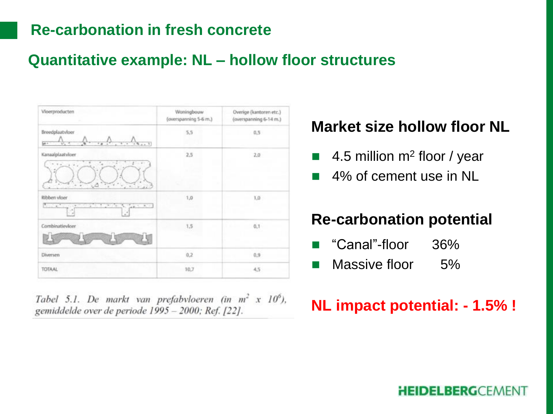### **Re-carbonation in fresh concrete**

### **Quantitative example: NL – hollow floor structures**

| Vloerproducten<br>a.                                                                             | Woningbouw<br>(overspanning 5-6 m.) | Overige (kantoren etc.)<br>(overspanning 6-14 m.) |
|--------------------------------------------------------------------------------------------------|-------------------------------------|---------------------------------------------------|
| Breedplaatvloer<br>p.<br>τ<br>$+4$                                                               | 5,5                                 | 0,5                                               |
| Kanaalplaatvloer<br>$\overline{a}$<br>$2 - 1$<br>v.<br>×<br>÷.<br>×<br>$\sim$<br>$\sim$ $\Delta$ | 2,5<br>m                            | 2,0                                               |
| Ribben vloer<br>T.<br>1.597.741<br>ਿੱ<br>N. Gentler<br>- 4<br>×<br>Ŧ<br>- 4                      | 1,0                                 | 1,0                                               |
| Combinatievioer                                                                                  | 1,5                                 | 0.1                                               |
| Diversen                                                                                         | 0,2                                 | 0.9                                               |
| TOTAAL                                                                                           | 10,7                                | 4,5                                               |

Tabel 5.1. De markt van prefabyloeren (in  $m^2$  x 10<sup>6</sup>), gemiddelde over de periode 1995 - 2000; Ref. [22].

### **Market size hollow floor NL**

- 4.5 million m<sup>2</sup> floor / year
- 4% of cement use in NL

### **Re-carbonation potential**

- "Canal"-floor 36%
- **Massive floor** 5%

# **NL impact potential: - 1.5% !**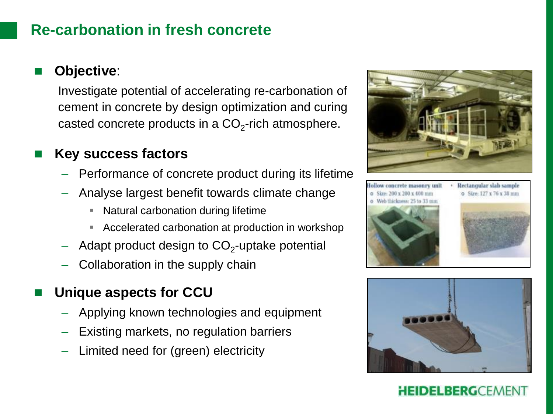### **Re-carbonation in fresh concrete**

Investigate potential of accelerating re-carbonation of cement in concrete by design optimization and curing casted concrete products in a  $\mathsf{CO}_2\text{-rich}$  atmosphere.

#### **Key success factors**

- Performance of concrete product during its lifetime
- Analyse largest benefit towards climate change
	- **Natural carbonation during lifetime**
	- Accelerated carbonation at production in workshop
- $-$  Adapt product design to CO $_2$ -uptake potential
- Collaboration in the supply chain

### **Unique aspects for CCU**

- Applying known technologies and equipment
- Existing markets, no regulation barriers
- Limited need for (green) electricity





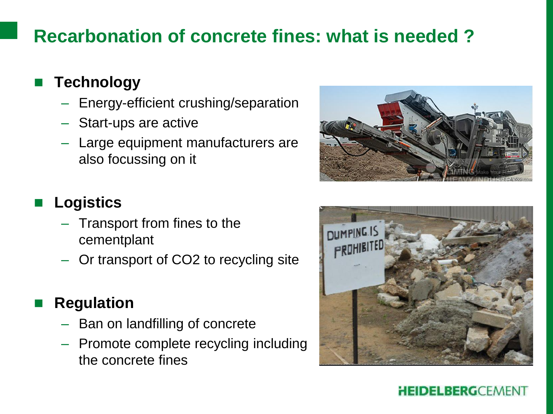# **Recarbonation of concrete fines: what is needed ?**

# **Technology**

- Energy-efficient crushing/separation
- Start-ups are active
- Large equipment manufacturers are also focussing on it



# **Logistics**

- Transport from fines to the cementplant
- Or transport of CO2 to recycling site

# **Regulation**

- Ban on landfilling of concrete
- Promote complete recycling including the concrete fines